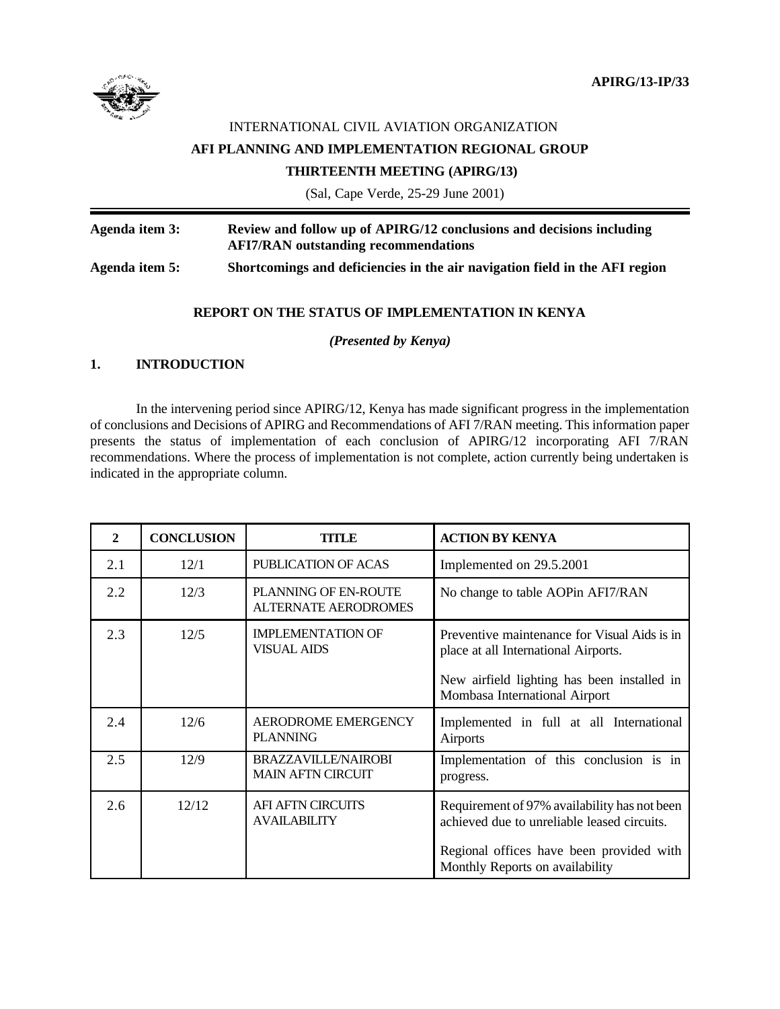

# INTERNATIONAL CIVIL AVIATION ORGANIZATION **AFI PLANNING AND IMPLEMENTATION REGIONAL GROUP THIRTEENTH MEETING (APIRG/13)**

(Sal, Cape Verde, 25-29 June 2001)

**Agenda item 3: Review and follow up of APIRG/12 conclusions and decisions including AFI7/RAN outstanding recommendations Agenda item 5: Shortcomings and deficiencies in the air navigation field in the AFI region**

#### **REPORT ON THE STATUS OF IMPLEMENTATION IN KENYA**

*(Presented by Kenya)*

### **1. INTRODUCTION**

In the intervening period since APIRG/12, Kenya has made significant progress in the implementation of conclusions and Decisions of APIRG and Recommendations of AFI 7/RAN meeting. This information paper presents the status of implementation of each conclusion of APIRG/12 incorporating AFI 7/RAN recommendations. Where the process of implementation is not complete, action currently being undertaken is indicated in the appropriate column.

| $\mathbf{2}$ | <b>CONCLUSION</b> | TITLE                                                      | <b>ACTION BY KENYA</b>                                                                                                                                                     |  |
|--------------|-------------------|------------------------------------------------------------|----------------------------------------------------------------------------------------------------------------------------------------------------------------------------|--|
| 2.1          | 12/1              | PUBLICATION OF ACAS                                        | Implemented on 29.5.2001                                                                                                                                                   |  |
| 2.2          | 12/3              | <b>PLANNING OF EN-ROUTE</b><br><b>ALTERNATE AERODROMES</b> | No change to table AOPin AFI7/RAN                                                                                                                                          |  |
| 2.3          | 12/5              | <b>IMPLEMENTATION OF</b><br><b>VISUAL AIDS</b>             | Preventive maintenance for Visual Aids is in<br>place at all International Airports.<br>New airfield lighting has been installed in<br>Mombasa International Airport       |  |
| 2.4          | 12/6              | AERODROME EMERGENCY<br><b>PLANNING</b>                     | Implemented in full at all International<br><b>Airports</b>                                                                                                                |  |
| 2.5          | 12/9              | BRAZZAVILLE/NAIROBI<br><b>MAIN AFTN CIRCUIT</b>            | Implementation of this conclusion is in<br>progress.                                                                                                                       |  |
| 2.6          | 12/12             | <b>AFI AFTN CIRCUITS</b><br><b>AVAILABILITY</b>            | Requirement of 97% availability has not been<br>achieved due to unreliable leased circuits.<br>Regional offices have been provided with<br>Monthly Reports on availability |  |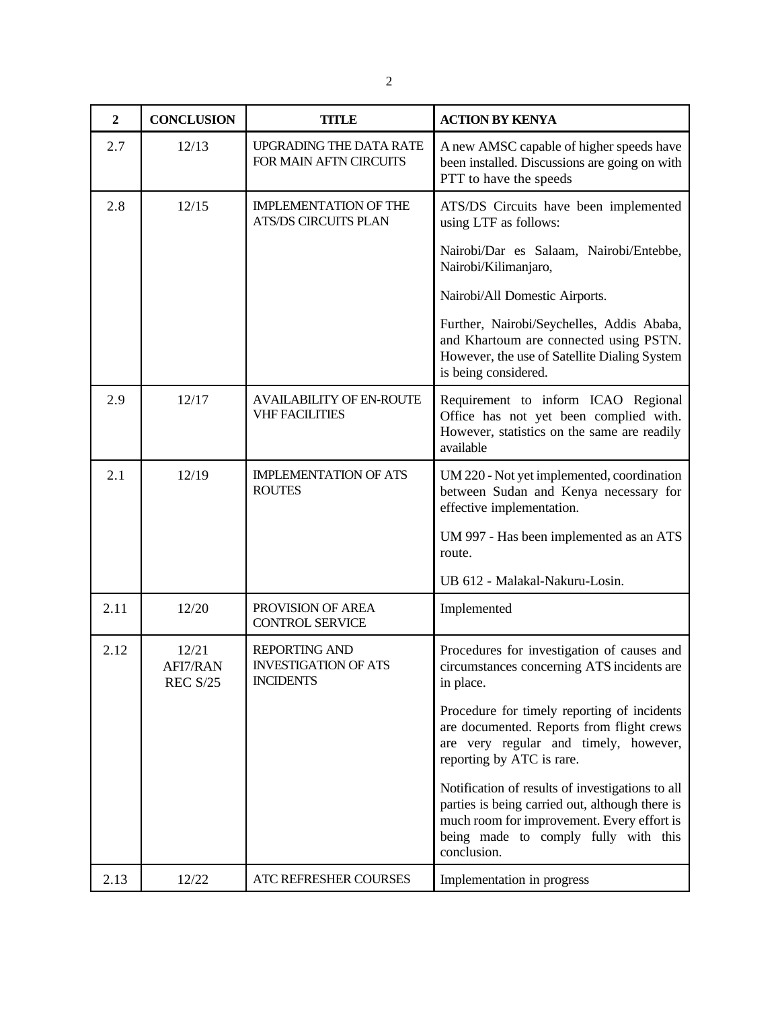| $\overline{2}$ | <b>CONCLUSION</b>                    | <b>TITLE</b>                                                            | <b>ACTION BY KENYA</b>                                                                                                                                                                                   |
|----------------|--------------------------------------|-------------------------------------------------------------------------|----------------------------------------------------------------------------------------------------------------------------------------------------------------------------------------------------------|
| 2.7            | 12/13                                | UPGRADING THE DATA RATE<br>FOR MAIN AFTN CIRCUITS                       | A new AMSC capable of higher speeds have<br>been installed. Discussions are going on with<br>PTT to have the speeds                                                                                      |
| 2.8            | 12/15                                | <b>IMPLEMENTATION OF THE</b><br><b>ATS/DS CIRCUITS PLAN</b>             | ATS/DS Circuits have been implemented<br>using LTF as follows:                                                                                                                                           |
|                |                                      |                                                                         | Nairobi/Dar es Salaam, Nairobi/Entebbe,<br>Nairobi/Kilimanjaro,                                                                                                                                          |
|                |                                      |                                                                         | Nairobi/All Domestic Airports.                                                                                                                                                                           |
|                |                                      |                                                                         | Further, Nairobi/Seychelles, Addis Ababa,<br>and Khartoum are connected using PSTN.<br>However, the use of Satellite Dialing System<br>is being considered.                                              |
| 2.9            | 12/17                                | <b>AVAILABILITY OF EN-ROUTE</b><br><b>VHF FACILITIES</b>                | Requirement to inform ICAO Regional<br>Office has not yet been complied with.<br>However, statistics on the same are readily<br>available                                                                |
| 2.1            | 12/19                                | <b>IMPLEMENTATION OF ATS</b><br><b>ROUTES</b>                           | UM 220 - Not yet implemented, coordination<br>between Sudan and Kenya necessary for<br>effective implementation.                                                                                         |
|                |                                      |                                                                         | UM 997 - Has been implemented as an ATS<br>route.                                                                                                                                                        |
|                |                                      |                                                                         | UB 612 - Malakal-Nakuru-Losin.                                                                                                                                                                           |
| 2.11           | 12/20                                | PROVISION OF AREA<br><b>CONTROL SERVICE</b>                             | Implemented                                                                                                                                                                                              |
| 2.12           | 12/21<br>AFI7/RAN<br><b>REC S/25</b> | <b>REPORTING AND</b><br><b>INVESTIGATION OF ATS</b><br><b>INCIDENTS</b> | Procedures for investigation of causes and<br>circumstances concerning ATS incidents are<br>in place.                                                                                                    |
|                |                                      |                                                                         | Procedure for timely reporting of incidents<br>are documented. Reports from flight crews<br>are very regular and timely, however,<br>reporting by ATC is rare.                                           |
|                |                                      |                                                                         | Notification of results of investigations to all<br>parties is being carried out, although there is<br>much room for improvement. Every effort is<br>being made to comply fully with this<br>conclusion. |
| 2.13           | 12/22                                | ATC REFRESHER COURSES                                                   | Implementation in progress                                                                                                                                                                               |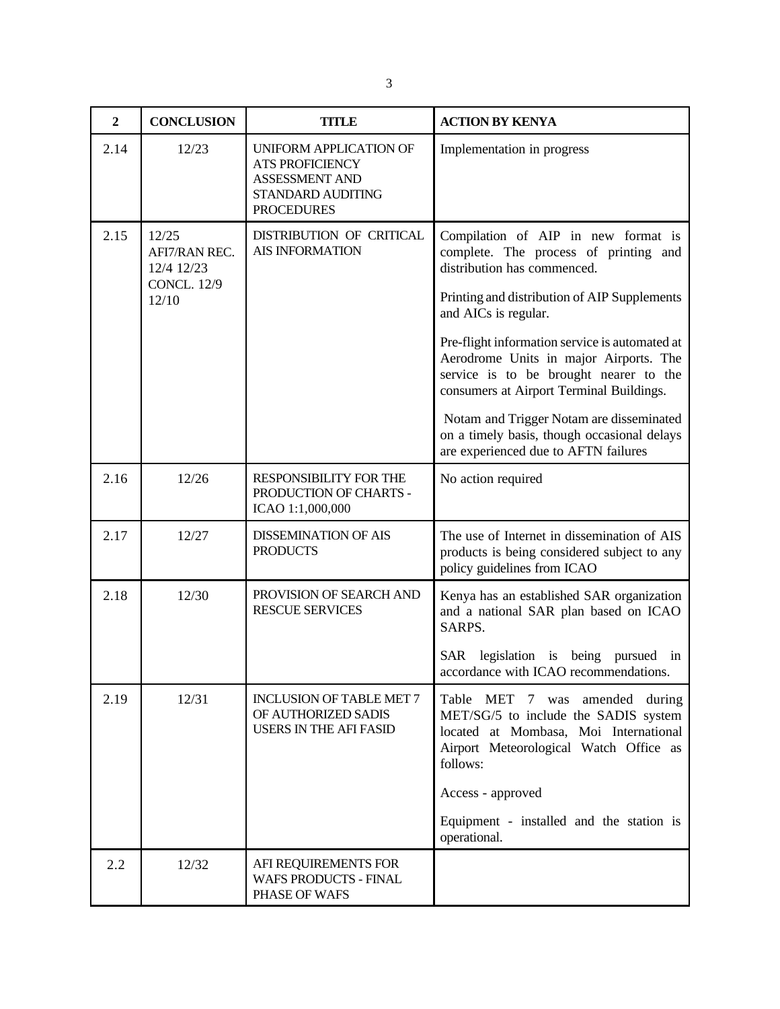| $\overline{2}$ | <b>CONCLUSION</b>                                          | <b>TITLE</b>                                                                                                 | <b>ACTION BY KENYA</b>                                                                                                                                                         |
|----------------|------------------------------------------------------------|--------------------------------------------------------------------------------------------------------------|--------------------------------------------------------------------------------------------------------------------------------------------------------------------------------|
| 2.14           | 12/23                                                      | UNIFORM APPLICATION OF<br><b>ATS PROFICIENCY</b><br>ASSESSMENT AND<br>STANDARD AUDITING<br><b>PROCEDURES</b> | Implementation in progress                                                                                                                                                     |
| 2.15           | 12/25<br>AFI7/RAN REC.<br>12/4 12/23<br><b>CONCL. 12/9</b> | DISTRIBUTION OF CRITICAL<br><b>AIS INFORMATION</b>                                                           | Compilation of AIP in new format is<br>complete. The process of printing and<br>distribution has commenced.                                                                    |
|                | 12/10                                                      |                                                                                                              | Printing and distribution of AIP Supplements<br>and AICs is regular.                                                                                                           |
|                |                                                            |                                                                                                              | Pre-flight information service is automated at<br>Aerodrome Units in major Airports. The<br>service is to be brought nearer to the<br>consumers at Airport Terminal Buildings. |
|                |                                                            |                                                                                                              | Notam and Trigger Notam are disseminated<br>on a timely basis, though occasional delays<br>are experienced due to AFTN failures                                                |
| 2.16           | 12/26                                                      | RESPONSIBILITY FOR THE<br>PRODUCTION OF CHARTS -<br>ICAO 1:1,000,000                                         | No action required                                                                                                                                                             |
| 2.17           | 12/27                                                      | <b>DISSEMINATION OF AIS</b><br><b>PRODUCTS</b>                                                               | The use of Internet in dissemination of AIS<br>products is being considered subject to any<br>policy guidelines from ICAO                                                      |
| 2.18           | 12/30                                                      | PROVISION OF SEARCH AND<br><b>RESCUE SERVICES</b>                                                            | Kenya has an established SAR organization<br>and a national SAR plan based on ICAO<br>SARPS.                                                                                   |
|                |                                                            |                                                                                                              | SAR legislation is being pursued in<br>accordance with ICAO recommendations.                                                                                                   |
| 2.19           | 12/31                                                      | <b>INCLUSION OF TABLE MET 7</b><br>OF AUTHORIZED SADIS<br><b>USERS IN THE AFI FASID</b>                      | Table MET 7 was<br>amended during<br>MET/SG/5 to include the SADIS system<br>located at Mombasa, Moi International<br>Airport Meteorological Watch Office as<br>follows:       |
|                |                                                            |                                                                                                              | Access - approved                                                                                                                                                              |
|                |                                                            |                                                                                                              | Equipment - installed and the station is<br>operational.                                                                                                                       |
| 2.2            | 12/32                                                      | AFI REQUIREMENTS FOR<br><b>WAFS PRODUCTS - FINAL</b><br>PHASE OF WAFS                                        |                                                                                                                                                                                |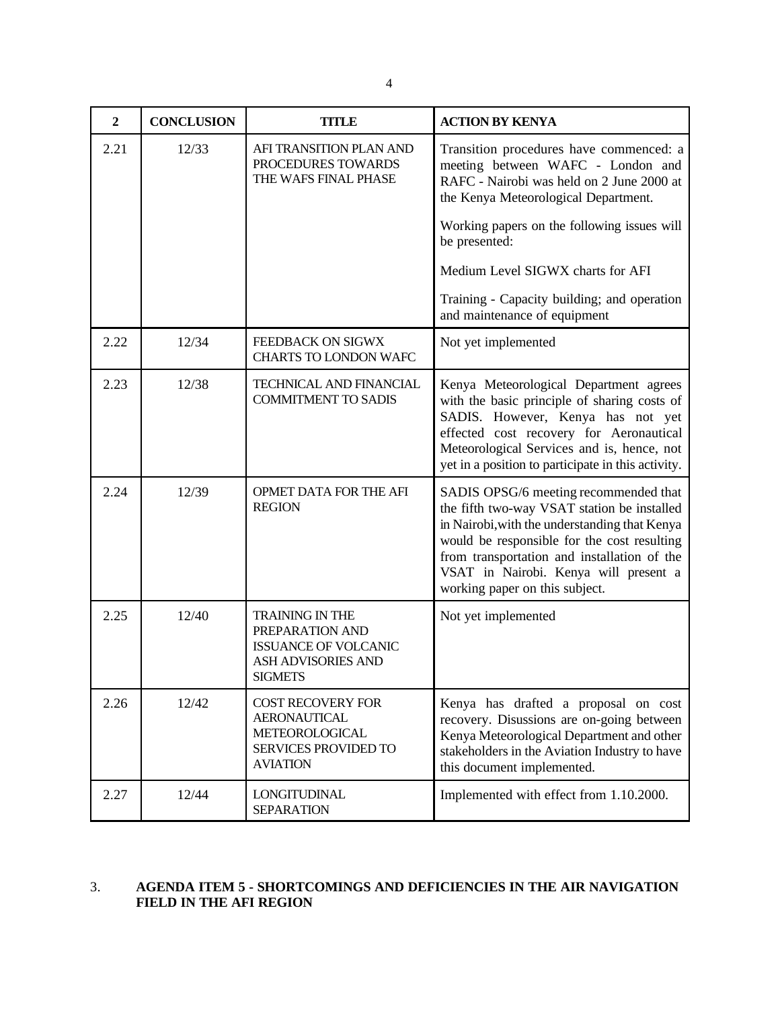| ш |
|---|
| ш |

| $\overline{2}$ | <b>CONCLUSION</b> | <b>TITLE</b>                                                                                                            | <b>ACTION BY KENYA</b>                                                                                                                                                                                                                                                                                         |
|----------------|-------------------|-------------------------------------------------------------------------------------------------------------------------|----------------------------------------------------------------------------------------------------------------------------------------------------------------------------------------------------------------------------------------------------------------------------------------------------------------|
| 2.21           | 12/33             | AFI TRANSITION PLAN AND<br>PROCEDURES TOWARDS<br>THE WAFS FINAL PHASE                                                   | Transition procedures have commenced: a<br>meeting between WAFC - London and<br>RAFC - Nairobi was held on 2 June 2000 at<br>the Kenya Meteorological Department.                                                                                                                                              |
|                |                   |                                                                                                                         | Working papers on the following issues will<br>be presented:                                                                                                                                                                                                                                                   |
|                |                   |                                                                                                                         | Medium Level SIGWX charts for AFI                                                                                                                                                                                                                                                                              |
|                |                   |                                                                                                                         | Training - Capacity building; and operation<br>and maintenance of equipment                                                                                                                                                                                                                                    |
| 2.22           | 12/34             | FEEDBACK ON SIGWX<br>CHARTS TO LONDON WAFC                                                                              | Not yet implemented                                                                                                                                                                                                                                                                                            |
| 2.23           | 12/38             | TECHNICAL AND FINANCIAL<br><b>COMMITMENT TO SADIS</b>                                                                   | Kenya Meteorological Department agrees<br>with the basic principle of sharing costs of<br>SADIS. However, Kenya has not yet<br>effected cost recovery for Aeronautical<br>Meteorological Services and is, hence, not<br>yet in a position to participate in this activity.                                     |
| 2.24           | 12/39             | OPMET DATA FOR THE AFI<br><b>REGION</b>                                                                                 | SADIS OPSG/6 meeting recommended that<br>the fifth two-way VSAT station be installed<br>in Nairobi, with the understanding that Kenya<br>would be responsible for the cost resulting<br>from transportation and installation of the<br>VSAT in Nairobi. Kenya will present a<br>working paper on this subject. |
| 2.25           | 12/40             | <b>TRAINING IN THE</b><br>PREPARATION AND<br><b>ISSUANCE OF VOLCANIC</b><br><b>ASH ADVISORIES AND</b><br><b>SIGMETS</b> | Not yet implemented                                                                                                                                                                                                                                                                                            |
| 2.26           | 12/42             | <b>COST RECOVERY FOR</b><br><b>AERONAUTICAL</b><br>METEOROLOGICAL<br>SERVICES PROVIDED TO<br><b>AVIATION</b>            | Kenya has drafted a proposal on cost<br>recovery. Disussions are on-going between<br>Kenya Meteorological Department and other<br>stakeholders in the Aviation Industry to have<br>this document implemented.                                                                                                  |
| 2.27           | 12/44             | <b>LONGITUDINAL</b><br><b>SEPARATION</b>                                                                                | Implemented with effect from 1.10.2000.                                                                                                                                                                                                                                                                        |

### 3. **AGENDA ITEM 5 - SHORTCOMINGS AND DEFICIENCIES IN THE AIR NAVIGATION FIELD IN THE AFI REGION**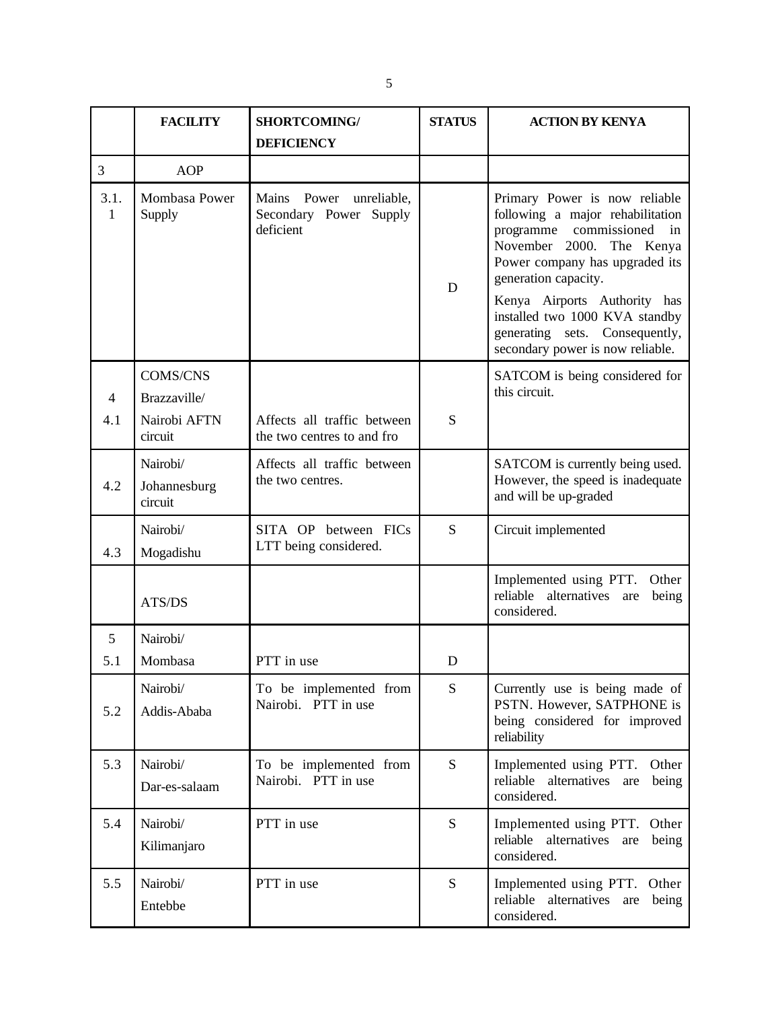|           | <b>FACILITY</b>                     | <b>SHORTCOMING/</b>                                                  | <b>STATUS</b> | <b>ACTION BY KENYA</b>                                                                                                                                                                                                                                                                                                                |
|-----------|-------------------------------------|----------------------------------------------------------------------|---------------|---------------------------------------------------------------------------------------------------------------------------------------------------------------------------------------------------------------------------------------------------------------------------------------------------------------------------------------|
|           |                                     | <b>DEFICIENCY</b>                                                    |               |                                                                                                                                                                                                                                                                                                                                       |
| 3         | <b>AOP</b>                          |                                                                      |               |                                                                                                                                                                                                                                                                                                                                       |
| 3.1.<br>1 | Mombasa Power<br>Supply             | Power<br>Mains<br>unreliable,<br>Secondary Power Supply<br>deficient | D             | Primary Power is now reliable<br>following a major rehabilitation<br>programme<br>commissioned<br>in<br>November 2000.<br>The Kenya<br>Power company has upgraded its<br>generation capacity.<br>Kenya Airports Authority has<br>installed two 1000 KVA standby<br>generating sets. Consequently,<br>secondary power is now reliable. |
| 4         | <b>COMS/CNS</b><br>Brazzaville/     |                                                                      |               | SATCOM is being considered for<br>this circuit.                                                                                                                                                                                                                                                                                       |
| 4.1       | Nairobi AFTN<br>circuit             | Affects all traffic between<br>the two centres to and fro            | S             |                                                                                                                                                                                                                                                                                                                                       |
| 4.2       | Nairobi/<br>Johannesburg<br>circuit | Affects all traffic between<br>the two centres.                      |               | SATCOM is currently being used.<br>However, the speed is inadequate<br>and will be up-graded                                                                                                                                                                                                                                          |
| 4.3       | Nairobi/<br>Mogadishu               | SITA OP between FICs<br>LTT being considered.                        | S             | Circuit implemented                                                                                                                                                                                                                                                                                                                   |
|           | ATS/DS                              |                                                                      |               | Implemented using PTT.<br>Other<br>reliable alternatives<br>being<br>are<br>considered.                                                                                                                                                                                                                                               |
| 5         | Nairobi/                            |                                                                      |               |                                                                                                                                                                                                                                                                                                                                       |
| 5.1       | Mombasa                             | PTT in use                                                           | D             |                                                                                                                                                                                                                                                                                                                                       |
| 5.2       | Nairobi/<br>Addis-Ababa             | To be implemented from<br>Nairobi. PTT in use                        | ${\bf S}$     | Currently use is being made of<br>PSTN. However, SATPHONE is<br>being considered for improved<br>reliability                                                                                                                                                                                                                          |
| 5.3       | Nairobi/<br>Dar-es-salaam           | To be implemented from<br>Nairobi. PTT in use                        | S             | Implemented using PTT.<br>Other<br>reliable alternatives<br>are<br>being<br>considered.                                                                                                                                                                                                                                               |
| 5.4       | Nairobi/<br>Kilimanjaro             | PTT in use                                                           | S             | Implemented using PTT. Other<br>reliable alternatives<br>being<br>are<br>considered.                                                                                                                                                                                                                                                  |
| 5.5       | Nairobi/<br>Entebbe                 | PTT in use                                                           | S             | Implemented using PTT. Other<br>reliable alternatives<br>are<br>being<br>considered.                                                                                                                                                                                                                                                  |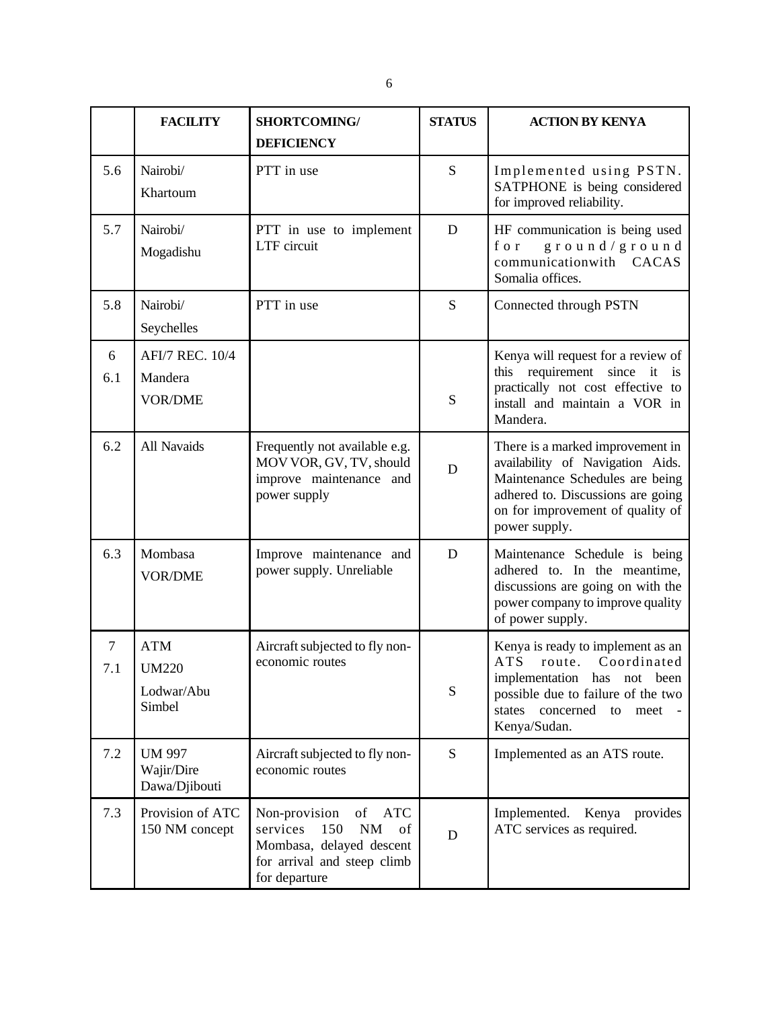|          | <b>FACILITY</b>                                    | <b>SHORTCOMING/</b>                                                                                                                   | <b>STATUS</b> | <b>ACTION BY KENYA</b>                                                                                                                                                                            |
|----------|----------------------------------------------------|---------------------------------------------------------------------------------------------------------------------------------------|---------------|---------------------------------------------------------------------------------------------------------------------------------------------------------------------------------------------------|
|          |                                                    | <b>DEFICIENCY</b>                                                                                                                     |               |                                                                                                                                                                                                   |
| 5.6      | Nairobi/<br>Khartoum                               | PTT in use                                                                                                                            | S             | Implemented using PSTN.<br>SATPHONE is being considered<br>for improved reliability.                                                                                                              |
| 5.7      | Nairobi/<br>Mogadishu                              | PTT in use to implement<br>LTF circuit                                                                                                | D             | HF communication is being used<br>for<br>ground/ground<br>communicationwith CACAS<br>Somalia offices.                                                                                             |
| 5.8      | Nairobi/<br>Seychelles                             | PTT in use                                                                                                                            | S             | Connected through PSTN                                                                                                                                                                            |
| 6<br>6.1 | AFI/7 REC. 10/4<br>Mandera<br><b>VOR/DME</b>       |                                                                                                                                       | ${\bf S}$     | Kenya will request for a review of<br>this requirement since it is<br>practically not cost effective to<br>install and maintain a VOR in<br>Mandera.                                              |
| 6.2      | All Navaids                                        | Frequently not available e.g.<br>MOV VOR, GV, TV, should<br>improve maintenance and<br>power supply                                   | D             | There is a marked improvement in<br>availability of Navigation Aids.<br>Maintenance Schedules are being<br>adhered to. Discussions are going<br>on for improvement of quality of<br>power supply. |
| 6.3      | Mombasa<br><b>VOR/DME</b>                          | Improve maintenance and<br>power supply. Unreliable                                                                                   | D             | Maintenance Schedule is being<br>adhered to. In the meantime,<br>discussions are going on with the<br>power company to improve quality<br>of power supply.                                        |
| 7<br>7.1 | <b>ATM</b><br><b>UM220</b><br>Lodwar/Abu<br>Simbel | Aircraft subjected to fly non-<br>economic routes                                                                                     | ${\bf S}$     | Kenya is ready to implement as an<br>route. Coordinated<br>ATS<br>implementation has not been<br>possible due to failure of the two<br>concerned<br>states<br>to<br>meet<br>Kenya/Sudan.          |
| 7.2      | <b>UM 997</b><br>Wajir/Dire<br>Dawa/Djibouti       | Aircraft subjected to fly non-<br>economic routes                                                                                     | S             | Implemented as an ATS route.                                                                                                                                                                      |
| 7.3      | Provision of ATC<br>150 NM concept                 | Non-provision<br>ATC<br>of<br>services<br>150<br>NM<br>of<br>Mombasa, delayed descent<br>for arrival and steep climb<br>for departure | D             | Implemented. Kenya provides<br>ATC services as required.                                                                                                                                          |